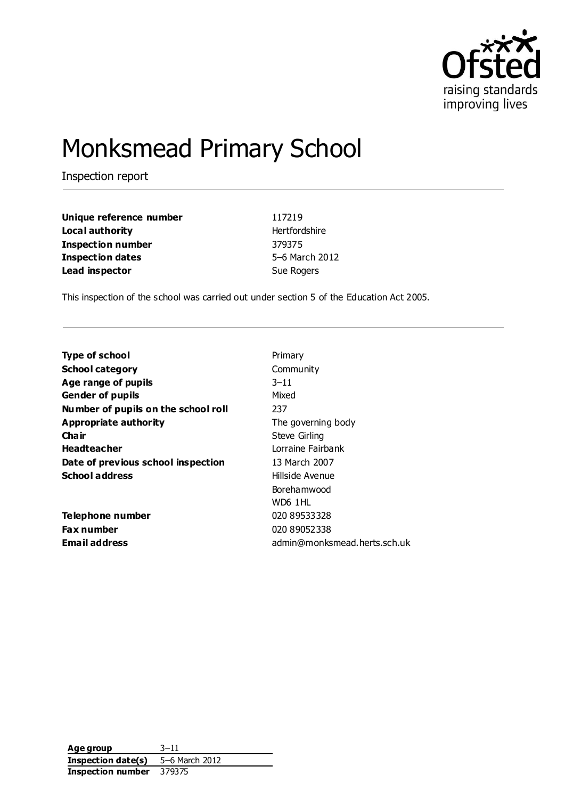

# Monksmead Primary School

Inspection report

| Unique reference number | 117219         |
|-------------------------|----------------|
| Local authority         | Hertfordshire  |
| Inspection number       | 379375         |
| Inspection dates        | 5-6 March 2012 |
| Lead inspector          | Sue Rogers     |

This inspection of the school was carried out under section 5 of the Education Act 2005.

| <b>Type of school</b>               | Primary                      |
|-------------------------------------|------------------------------|
| <b>School category</b>              | Community                    |
| Age range of pupils                 | $3 - 11$                     |
| <b>Gender of pupils</b>             | Mixed                        |
| Number of pupils on the school roll | 237                          |
| Appropriate authority               | The governing body           |
| Cha ir                              | Steve Girling                |
| <b>Headteacher</b>                  | Lorraine Fairbank            |
| Date of previous school inspection  | 13 March 2007                |
| <b>School address</b>               | Hillside Avenue              |
|                                     | Boreha mwood                 |
|                                     | WD6 1HL                      |
| Telephone number                    | 020 89533328                 |
| <b>Fax number</b>                   | 020 89052338                 |
| Email address                       | admin@monksmead.herts.sch.uk |
|                                     |                              |

**Age group** 3–11 **Inspection date(s)** 5–6 March 2012 **Inspection number** 379375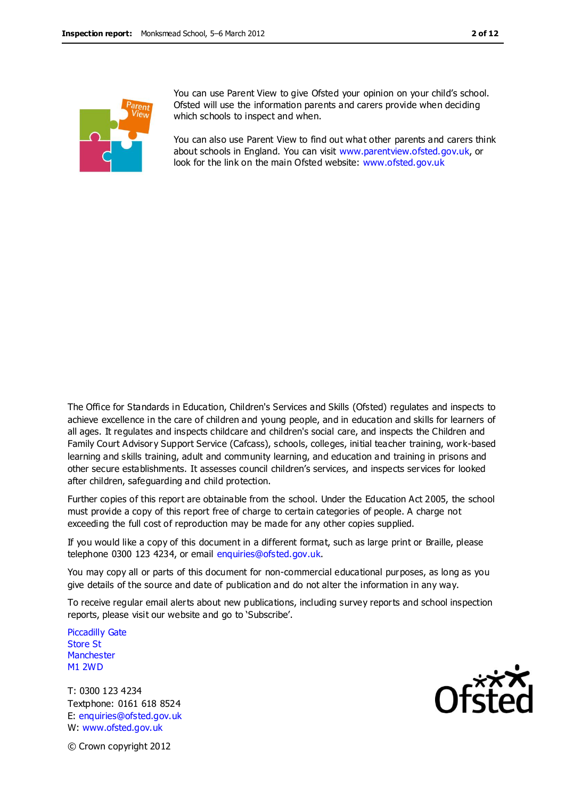

You can use Parent View to give Ofsted your opinion on your child's school. Ofsted will use the information parents and carers provide when deciding which schools to inspect and when.

You can also use Parent View to find out what other parents and carers think about schools in England. You can visit [www.parentview.ofsted.gov.uk,](http://www.parentview.ofsted.gov.uk/) or look for the link on the main Ofsted website: [www.ofsted.gov.uk](http://www.ofsted.gov.uk/)

The Office for Standards in Education, Children's Services and Skills (Ofsted) regulates and inspects to achieve excellence in the care of children and young people, and in education and skills for learners of all ages. It regulates and inspects childcare and children's social care, and inspects the Children and Family Court Advisory Support Service (Cafcass), schools, colleges, initial teacher training, work-based learning and skills training, adult and community learning, and education and training in prisons and other secure establishments. It assesses council children's services, and inspects services for looked after children, safeguarding and child protection.

Further copies of this report are obtainable from the school. Under the Education Act 2005, the school must provide a copy of this report free of charge to certain categories of people. A charge not exceeding the full cost of reproduction may be made for any other copies supplied.

If you would like a copy of this document in a different format, such as large print or Braille, please telephone 0300 123 4234, or email enquiries@ofsted.gov.uk.

You may copy all or parts of this document for non-commercial educational purposes, as long as you give details of the source and date of publication and do not alter the information in any way.

To receive regular email alerts about new publications, including survey reports and school inspection reports, please visit our website and go to 'Subscribe'.

Piccadilly Gate Store St **Manchester** M1 2WD

T: 0300 123 4234 Textphone: 0161 618 8524 E: enquiries@ofsted.gov.uk W: www.ofsted.gov.uk



© Crown copyright 2012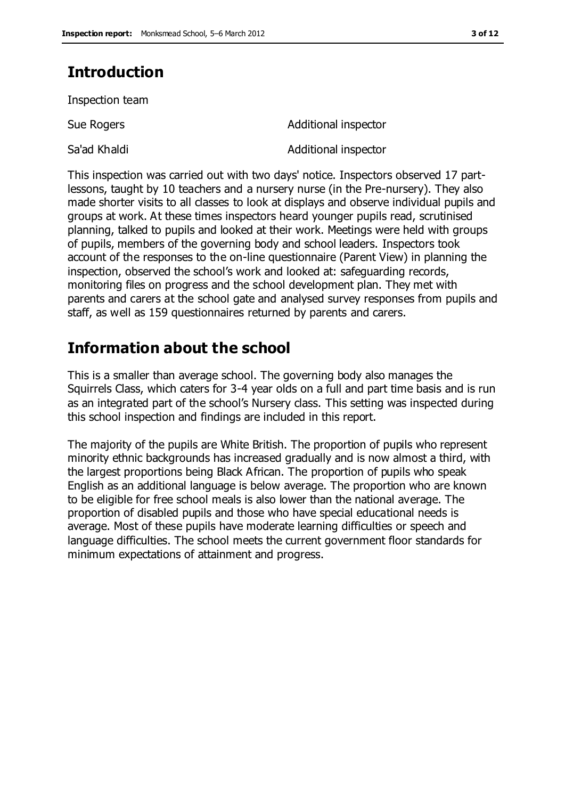# **Introduction**

Inspection team

Sue Rogers **Additional inspector** 

Sa'ad Khaldi Additional inspector

This inspection was carried out with two days' notice. Inspectors observed 17 partlessons, taught by 10 teachers and a nursery nurse (in the Pre-nursery). They also made shorter visits to all classes to look at displays and observe individual pupils and groups at work. At these times inspectors heard younger pupils read, scrutinised planning, talked to pupils and looked at their work. Meetings were held with groups of pupils, members of the governing body and school leaders. Inspectors took account of the responses to the on-line questionnaire (Parent View) in planning the inspection, observed the school's work and looked at: safeguarding records, monitoring files on progress and the school development plan. They met with parents and carers at the school gate and analysed survey responses from pupils and staff, as well as 159 questionnaires returned by parents and carers.

# **Information about the school**

This is a smaller than average school. The governing body also manages the Squirrels Class, which caters for 3-4 year olds on a full and part time basis and is run as an integrated part of the school's Nursery class. This setting was inspected during this school inspection and findings are included in this report.

The majority of the pupils are White British. The proportion of pupils who represent minority ethnic backgrounds has increased gradually and is now almost a third, with the largest proportions being Black African. The proportion of pupils who speak English as an additional language is below average. The proportion who are known to be eligible for free school meals is also lower than the national average. The proportion of disabled pupils and those who have special educational needs is average. Most of these pupils have moderate learning difficulties or speech and language difficulties. The school meets the current government floor standards for minimum expectations of attainment and progress.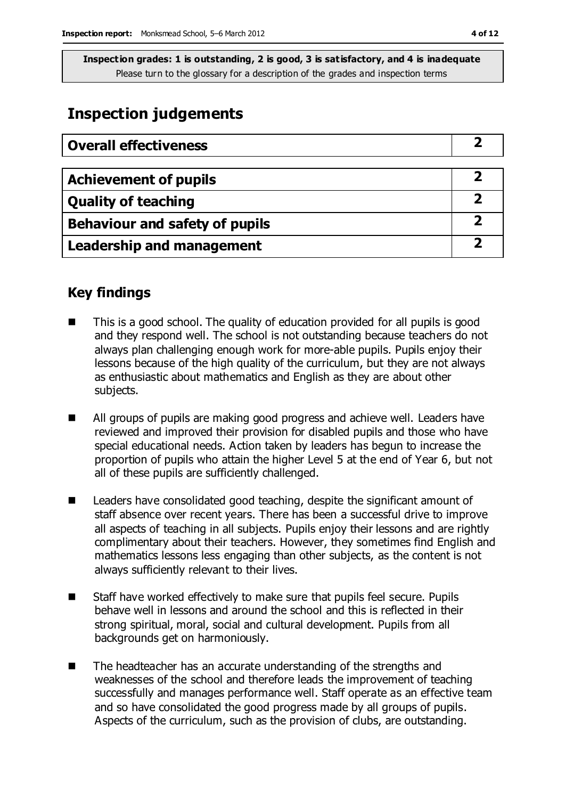## **Inspection judgements**

| <b>Overall effectiveness</b>          |  |
|---------------------------------------|--|
|                                       |  |
| <b>Achievement of pupils</b>          |  |
| <b>Quality of teaching</b>            |  |
| <b>Behaviour and safety of pupils</b> |  |
| <b>Leadership and management</b>      |  |

## **Key findings**

- This is a good school. The quality of education provided for all pupils is good and they respond well. The school is not outstanding because teachers do not always plan challenging enough work for more-able pupils. Pupils enjoy their lessons because of the high quality of the curriculum, but they are not always as enthusiastic about mathematics and English as they are about other subjects.
- All groups of pupils are making good progress and achieve well. Leaders have reviewed and improved their provision for disabled pupils and those who have special educational needs. Action taken by leaders has begun to increase the proportion of pupils who attain the higher Level 5 at the end of Year 6, but not all of these pupils are sufficiently challenged.
- Leaders have consolidated good teaching, despite the significant amount of staff absence over recent years. There has been a successful drive to improve all aspects of teaching in all subjects. Pupils enjoy their lessons and are rightly complimentary about their teachers. However, they sometimes find English and mathematics lessons less engaging than other subjects, as the content is not always sufficiently relevant to their lives.
- Staff have worked effectively to make sure that pupils feel secure. Pupils behave well in lessons and around the school and this is reflected in their strong spiritual, moral, social and cultural development. Pupils from all backgrounds get on harmoniously.
- The headteacher has an accurate understanding of the strengths and weaknesses of the school and therefore leads the improvement of teaching successfully and manages performance well. Staff operate as an effective team and so have consolidated the good progress made by all groups of pupils. Aspects of the curriculum, such as the provision of clubs, are outstanding.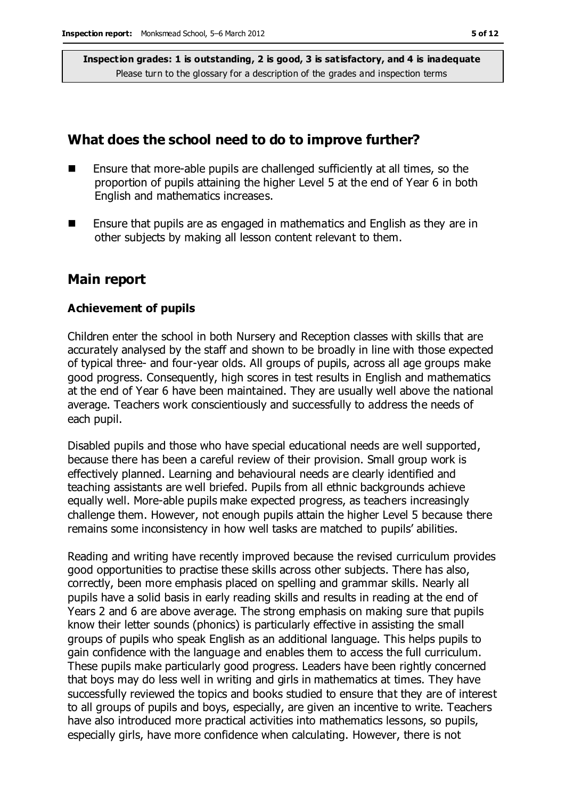## **What does the school need to do to improve further?**

- $\blacksquare$  Ensure that more-able pupils are challenged sufficiently at all times, so the proportion of pupils attaining the higher Level 5 at the end of Year 6 in both English and mathematics increases.
- **E** Ensure that pupils are as engaged in mathematics and English as they are in other subjects by making all lesson content relevant to them.

### **Main report**

#### **Achievement of pupils**

Children enter the school in both Nursery and Reception classes with skills that are accurately analysed by the staff and shown to be broadly in line with those expected of typical three- and four-year olds. All groups of pupils, across all age groups make good progress. Consequently, high scores in test results in English and mathematics at the end of Year 6 have been maintained. They are usually well above the national average. Teachers work conscientiously and successfully to address the needs of each pupil.

Disabled pupils and those who have special educational needs are well supported, because there has been a careful review of their provision. Small group work is effectively planned. Learning and behavioural needs are clearly identified and teaching assistants are well briefed. Pupils from all ethnic backgrounds achieve equally well. More-able pupils make expected progress, as teachers increasingly challenge them. However, not enough pupils attain the higher Level 5 because there remains some inconsistency in how well tasks are matched to pupils' abilities.

Reading and writing have recently improved because the revised curriculum provides good opportunities to practise these skills across other subjects. There has also, correctly, been more emphasis placed on spelling and grammar skills. Nearly all pupils have a solid basis in early reading skills and results in reading at the end of Years 2 and 6 are above average. The strong emphasis on making sure that pupils know their letter sounds (phonics) is particularly effective in assisting the small groups of pupils who speak English as an additional language. This helps pupils to gain confidence with the language and enables them to access the full curriculum. These pupils make particularly good progress. Leaders have been rightly concerned that boys may do less well in writing and girls in mathematics at times. They have successfully reviewed the topics and books studied to ensure that they are of interest to all groups of pupils and boys, especially, are given an incentive to write. Teachers have also introduced more practical activities into mathematics lessons, so pupils, especially girls, have more confidence when calculating. However, there is not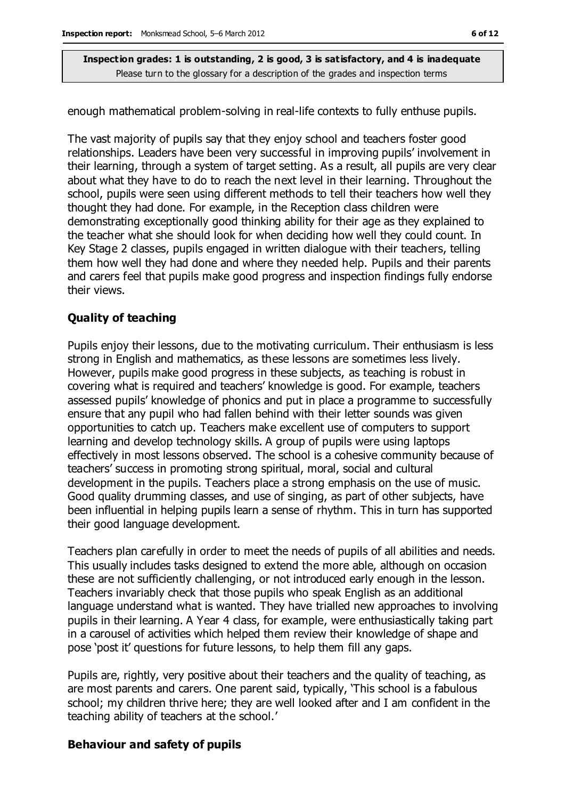enough mathematical problem-solving in real-life contexts to fully enthuse pupils.

The vast majority of pupils say that they enjoy school and teachers foster good relationships. Leaders have been very successful in improving pupils' involvement in their learning, through a system of target setting. As a result, all pupils are very clear about what they have to do to reach the next level in their learning. Throughout the school, pupils were seen using different methods to tell their teachers how well they thought they had done. For example, in the Reception class children were demonstrating exceptionally good thinking ability for their age as they explained to the teacher what she should look for when deciding how well they could count. In Key Stage 2 classes, pupils engaged in written dialogue with their teachers, telling them how well they had done and where they needed help. Pupils and their parents and carers feel that pupils make good progress and inspection findings fully endorse their views.

#### **Quality of teaching**

Pupils enjoy their lessons, due to the motivating curriculum. Their enthusiasm is less strong in English and mathematics, as these lessons are sometimes less lively. However, pupils make good progress in these subjects, as teaching is robust in covering what is required and teachers' knowledge is good. For example, teachers assessed pupils' knowledge of phonics and put in place a programme to successfully ensure that any pupil who had fallen behind with their letter sounds was given opportunities to catch up. Teachers make excellent use of computers to support learning and develop technology skills. A group of pupils were using laptops effectively in most lessons observed. The school is a cohesive community because of teachers' success in promoting strong spiritual, moral, social and cultural development in the pupils. Teachers place a strong emphasis on the use of music. Good quality drumming classes, and use of singing, as part of other subjects, have been influential in helping pupils learn a sense of rhythm. This in turn has supported their good language development.

Teachers plan carefully in order to meet the needs of pupils of all abilities and needs. This usually includes tasks designed to extend the more able, although on occasion these are not sufficiently challenging, or not introduced early enough in the lesson. Teachers invariably check that those pupils who speak English as an additional language understand what is wanted. They have trialled new approaches to involving pupils in their learning. A Year 4 class, for example, were enthusiastically taking part in a carousel of activities which helped them review their knowledge of shape and pose 'post it' questions for future lessons, to help them fill any gaps.

Pupils are, rightly, very positive about their teachers and the quality of teaching, as are most parents and carers. One parent said, typically, 'This school is a fabulous school; my children thrive here; they are well looked after and I am confident in the teaching ability of teachers at the school.'

#### **Behaviour and safety of pupils**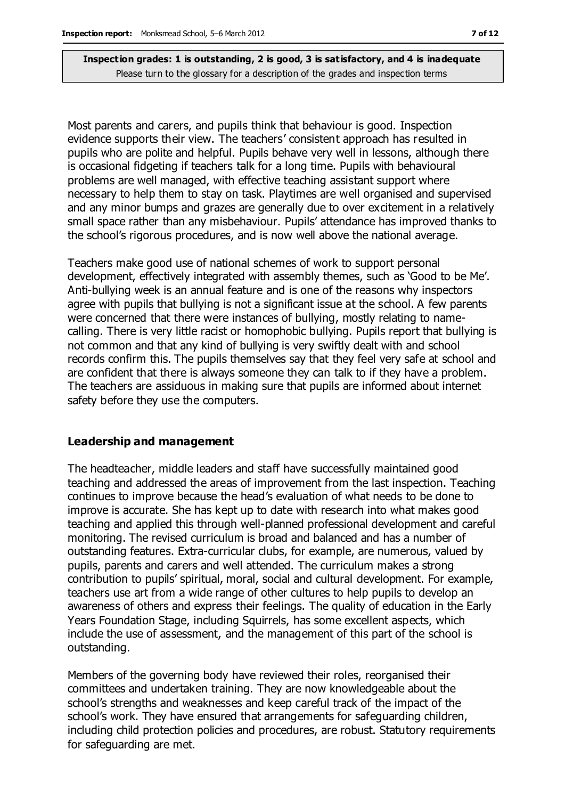Most parents and carers, and pupils think that behaviour is good. Inspection evidence supports their view. The teachers' consistent approach has resulted in pupils who are polite and helpful. Pupils behave very well in lessons, although there is occasional fidgeting if teachers talk for a long time. Pupils with behavioural problems are well managed, with effective teaching assistant support where necessary to help them to stay on task. Playtimes are well organised and supervised and any minor bumps and grazes are generally due to over excitement in a relatively small space rather than any misbehaviour. Pupils' attendance has improved thanks to the school's rigorous procedures, and is now well above the national average.

Teachers make good use of national schemes of work to support personal development, effectively integrated with assembly themes, such as 'Good to be Me'. Anti-bullying week is an annual feature and is one of the reasons why inspectors agree with pupils that bullying is not a significant issue at the school. A few parents were concerned that there were instances of bullying, mostly relating to namecalling. There is very little racist or homophobic bullying. Pupils report that bullying is not common and that any kind of bullying is very swiftly dealt with and school records confirm this. The pupils themselves say that they feel very safe at school and are confident that there is always someone they can talk to if they have a problem. The teachers are assiduous in making sure that pupils are informed about internet safety before they use the computers.

#### **Leadership and management**

The headteacher, middle leaders and staff have successfully maintained good teaching and addressed the areas of improvement from the last inspection. Teaching continues to improve because the head's evaluation of what needs to be done to improve is accurate. She has kept up to date with research into what makes good teaching and applied this through well-planned professional development and careful monitoring. The revised curriculum is broad and balanced and has a number of outstanding features. Extra-curricular clubs, for example, are numerous, valued by pupils, parents and carers and well attended. The curriculum makes a strong contribution to pupils' spiritual, moral, social and cultural development. For example, teachers use art from a wide range of other cultures to help pupils to develop an awareness of others and express their feelings. The quality of education in the Early Years Foundation Stage, including Squirrels, has some excellent aspects, which include the use of assessment, and the management of this part of the school is outstanding.

Members of the governing body have reviewed their roles, reorganised their committees and undertaken training. They are now knowledgeable about the school's strengths and weaknesses and keep careful track of the impact of the school's work. They have ensured that arrangements for safeguarding children, including child protection policies and procedures, are robust. Statutory requirements for safeguarding are met.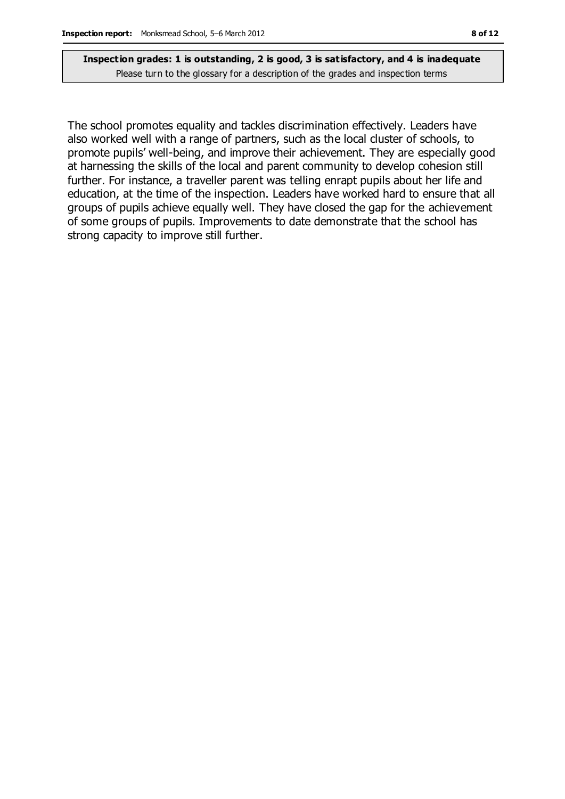The school promotes equality and tackles discrimination effectively. Leaders have also worked well with a range of partners, such as the local cluster of schools, to promote pupils' well-being, and improve their achievement. They are especially good at harnessing the skills of the local and parent community to develop cohesion still further. For instance, a traveller parent was telling enrapt pupils about her life and education, at the time of the inspection. Leaders have worked hard to ensure that all groups of pupils achieve equally well. They have closed the gap for the achievement of some groups of pupils. Improvements to date demonstrate that the school has strong capacity to improve still further.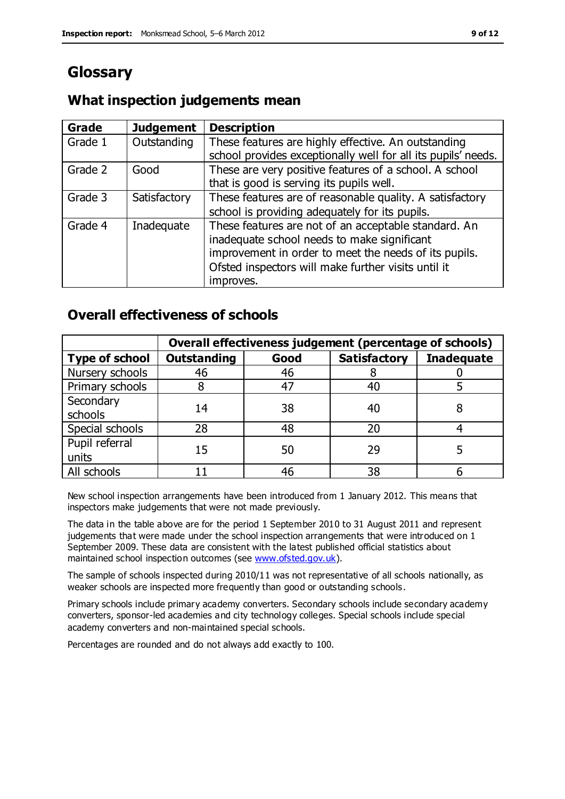# **Glossary**

## **What inspection judgements mean**

| Grade   | <b>Judgement</b> | <b>Description</b>                                                                                                                                                                                                               |
|---------|------------------|----------------------------------------------------------------------------------------------------------------------------------------------------------------------------------------------------------------------------------|
| Grade 1 | Outstanding      | These features are highly effective. An outstanding<br>school provides exceptionally well for all its pupils' needs.                                                                                                             |
| Grade 2 | Good             | These are very positive features of a school. A school<br>that is good is serving its pupils well.                                                                                                                               |
| Grade 3 | Satisfactory     | These features are of reasonable quality. A satisfactory<br>school is providing adequately for its pupils.                                                                                                                       |
| Grade 4 | Inadequate       | These features are not of an acceptable standard. An<br>inadequate school needs to make significant<br>improvement in order to meet the needs of its pupils.<br>Ofsted inspectors will make further visits until it<br>improves. |

## **Overall effectiveness of schools**

|                         | Overall effectiveness judgement (percentage of schools) |      |                     |                   |
|-------------------------|---------------------------------------------------------|------|---------------------|-------------------|
| <b>Type of school</b>   | <b>Outstanding</b>                                      | Good | <b>Satisfactory</b> | <b>Inadequate</b> |
| Nursery schools         | 46                                                      | 46   |                     |                   |
| Primary schools         |                                                         | 47   | 40                  |                   |
| Secondary<br>schools    | 14                                                      | 38   | 40                  |                   |
| Special schools         | 28                                                      | 48   | 20                  |                   |
| Pupil referral<br>units | 15                                                      | 50   | 29                  |                   |
| All schools             |                                                         | 46   | 38                  |                   |

New school inspection arrangements have been introduced from 1 January 2012. This means that inspectors make judgements that were not made previously.

The data in the table above are for the period 1 September 2010 to 31 August 2011 and represent judgements that were made under the school inspection arrangements that were introduced on 1 September 2009. These data are consistent with the latest published official statistics about maintained school inspection outcomes (see [www.ofsted.gov.uk\)](http://www.ofsted.gov.uk/).

The sample of schools inspected during 2010/11 was not representative of all schools nationally, as weaker schools are inspected more frequently than good or outstanding schools.

Primary schools include primary academy converters. Secondary schools include secondary academy converters, sponsor-led academies and city technology colleges. Special schools include special academy converters and non-maintained special schools.

Percentages are rounded and do not always add exactly to 100.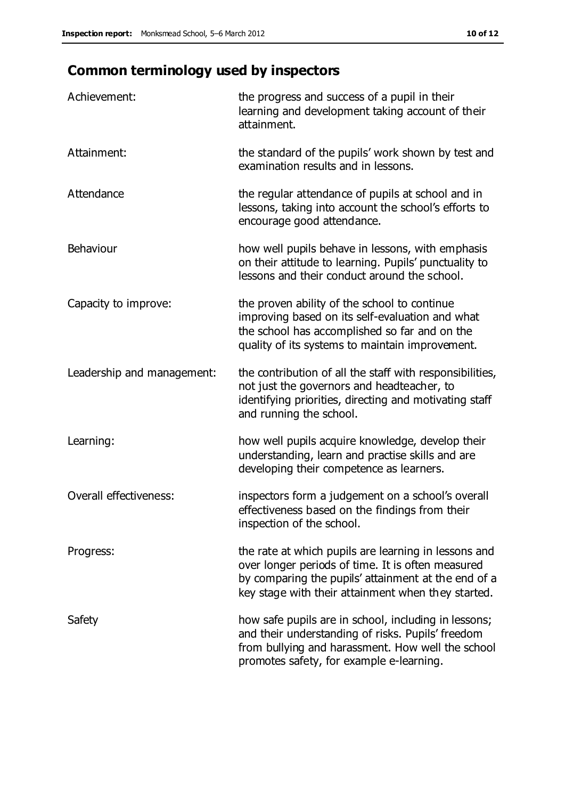# **Common terminology used by inspectors**

| Achievement:                  | the progress and success of a pupil in their<br>learning and development taking account of their<br>attainment.                                                                                                        |
|-------------------------------|------------------------------------------------------------------------------------------------------------------------------------------------------------------------------------------------------------------------|
| Attainment:                   | the standard of the pupils' work shown by test and<br>examination results and in lessons.                                                                                                                              |
| Attendance                    | the regular attendance of pupils at school and in<br>lessons, taking into account the school's efforts to<br>encourage good attendance.                                                                                |
| Behaviour                     | how well pupils behave in lessons, with emphasis<br>on their attitude to learning. Pupils' punctuality to<br>lessons and their conduct around the school.                                                              |
| Capacity to improve:          | the proven ability of the school to continue<br>improving based on its self-evaluation and what<br>the school has accomplished so far and on the<br>quality of its systems to maintain improvement.                    |
| Leadership and management:    | the contribution of all the staff with responsibilities,<br>not just the governors and headteacher, to<br>identifying priorities, directing and motivating staff<br>and running the school.                            |
| Learning:                     | how well pupils acquire knowledge, develop their<br>understanding, learn and practise skills and are<br>developing their competence as learners.                                                                       |
| <b>Overall effectiveness:</b> | inspectors form a judgement on a school's overall<br>effectiveness based on the findings from their<br>inspection of the school.                                                                                       |
| Progress:                     | the rate at which pupils are learning in lessons and<br>over longer periods of time. It is often measured<br>by comparing the pupils' attainment at the end of a<br>key stage with their attainment when they started. |
| Safety                        | how safe pupils are in school, including in lessons;<br>and their understanding of risks. Pupils' freedom<br>from bullying and harassment. How well the school<br>promotes safety, for example e-learning.             |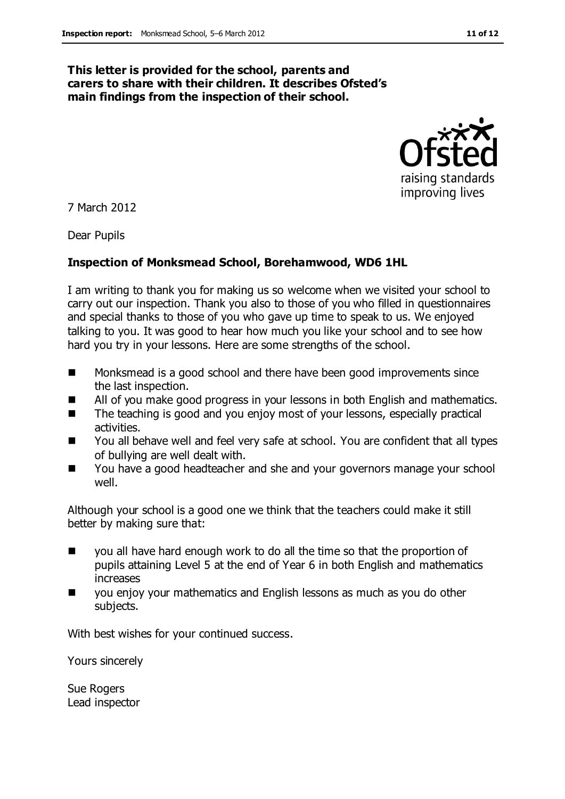#### **This letter is provided for the school, parents and carers to share with their children. It describes Ofsted's main findings from the inspection of their school.**



7 March 2012

Dear Pupils

#### **Inspection of Monksmead School, Borehamwood, WD6 1HL**

I am writing to thank you for making us so welcome when we visited your school to carry out our inspection. Thank you also to those of you who filled in questionnaires and special thanks to those of you who gave up time to speak to us. We enjoyed talking to you. It was good to hear how much you like your school and to see how hard you try in your lessons. Here are some strengths of the school.

- Monksmead is a good school and there have been good improvements since the last inspection.
- All of you make good progress in your lessons in both English and mathematics.
- The teaching is good and you enjoy most of your lessons, especially practical activities.
- You all behave well and feel very safe at school. You are confident that all types of bullying are well dealt with.
- You have a good headteacher and she and your governors manage your school well.

Although your school is a good one we think that the teachers could make it still better by making sure that:

- you all have hard enough work to do all the time so that the proportion of pupils attaining Level 5 at the end of Year 6 in both English and mathematics increases
- you enjoy your mathematics and English lessons as much as you do other subjects.

With best wishes for your continued success.

Yours sincerely

Sue Rogers Lead inspector